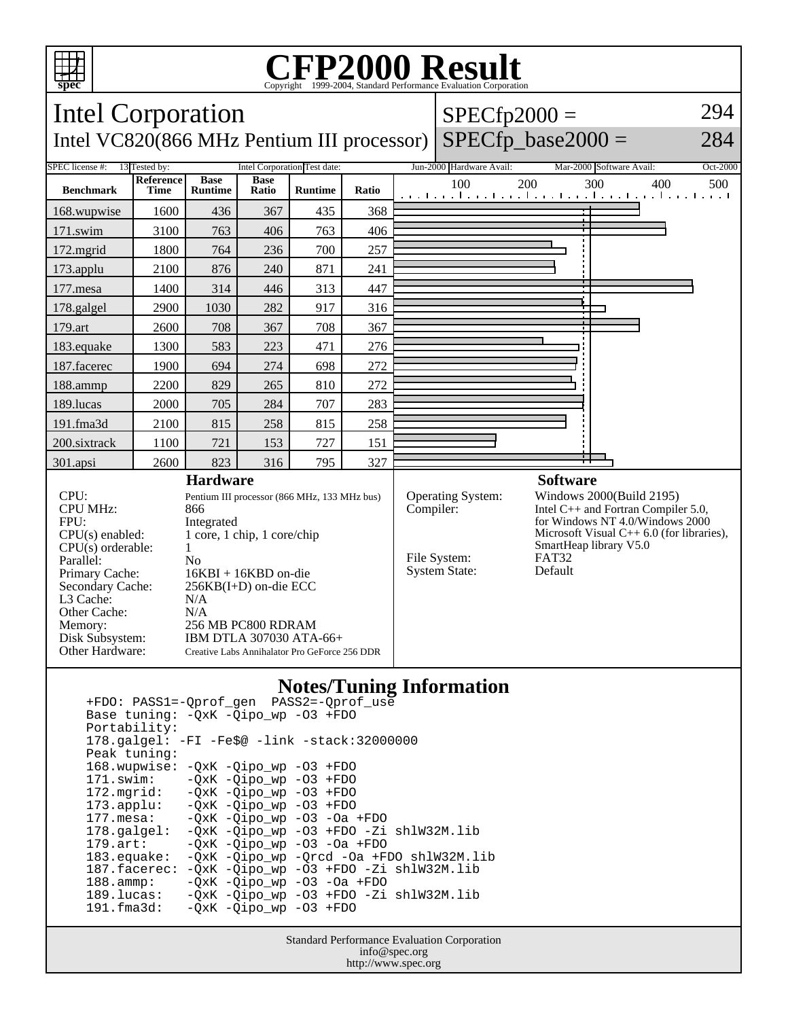

## Copyright ©1999-2004, Standard Performance Evaluation Corporation

| Intel Corporation                                                                                                             |                          |                                                                                                                                                                       |                      |                      |              |  | $SPECfp2000 =$                                                             |                  |                                                                                                                                                                            |     | 294      |
|-------------------------------------------------------------------------------------------------------------------------------|--------------------------|-----------------------------------------------------------------------------------------------------------------------------------------------------------------------|----------------------|----------------------|--------------|--|----------------------------------------------------------------------------|------------------|----------------------------------------------------------------------------------------------------------------------------------------------------------------------------|-----|----------|
| Intel VC820(866 MHz Pentium III processor)                                                                                    |                          |                                                                                                                                                                       |                      | $SPECfp\_base2000 =$ |              |  |                                                                            | 284              |                                                                                                                                                                            |     |          |
| <b>Intel Corporation Test date:</b><br>SPEC license #:<br>13 Tested by:                                                       |                          |                                                                                                                                                                       |                      |                      |              |  | Jun-2000 Hardware Avail:                                                   |                  | Mar-2000 Software Avail:                                                                                                                                                   |     | Oct-2000 |
| <b>Benchmark</b>                                                                                                              | <b>Reference</b><br>Time | <b>Base</b><br><b>Runtime</b>                                                                                                                                         | <b>Base</b><br>Ratio | <b>Runtime</b>       | <b>Ratio</b> |  | 100<br>المتعمل وتعميل وتعميل وتعمل والمتعمل وتعميل وتعميل والمتعمل المتعمل | 200              | 300                                                                                                                                                                        | 400 | 500      |
| 168.wupwise                                                                                                                   | 1600                     | 436                                                                                                                                                                   | 367                  | 435                  | 368          |  |                                                                            |                  |                                                                                                                                                                            |     |          |
| 171.swim                                                                                                                      | 3100                     | 763                                                                                                                                                                   | 406                  | 763                  | 406          |  |                                                                            |                  |                                                                                                                                                                            |     |          |
| 172.mgrid                                                                                                                     | 1800                     | 764                                                                                                                                                                   | 236                  | 700                  | 257          |  |                                                                            |                  |                                                                                                                                                                            |     |          |
| 173.applu                                                                                                                     | 2100                     | 876                                                                                                                                                                   | 240                  | 871                  | 241          |  |                                                                            |                  |                                                                                                                                                                            |     |          |
| 177.mesa                                                                                                                      | 1400                     | 314                                                                                                                                                                   | 446                  | 313                  | 447          |  |                                                                            |                  |                                                                                                                                                                            |     |          |
| 178.galgel                                                                                                                    | 2900                     | 1030                                                                                                                                                                  | 282                  | 917                  | 316          |  |                                                                            |                  |                                                                                                                                                                            |     |          |
| 179.art                                                                                                                       | 2600                     | 708                                                                                                                                                                   | 367                  | 708                  | 367          |  |                                                                            |                  |                                                                                                                                                                            |     |          |
| 183.equake                                                                                                                    | 1300                     | 583                                                                                                                                                                   | 223                  | 471                  | 276          |  |                                                                            |                  |                                                                                                                                                                            |     |          |
| 187.facerec                                                                                                                   | 1900                     | 694                                                                                                                                                                   | 274                  | 698                  | 272          |  |                                                                            |                  |                                                                                                                                                                            |     |          |
| 188.ammp                                                                                                                      | 2200                     | 829                                                                                                                                                                   | 265                  | 810                  | 272          |  |                                                                            |                  |                                                                                                                                                                            |     |          |
| 189.lucas                                                                                                                     | 2000                     | 705                                                                                                                                                                   | 284                  | 707                  | 283          |  |                                                                            |                  |                                                                                                                                                                            |     |          |
| 191.fma3d                                                                                                                     | 2100                     | 815                                                                                                                                                                   | 258                  | 815                  | 258          |  |                                                                            |                  |                                                                                                                                                                            |     |          |
| 200.sixtrack                                                                                                                  | 1100                     | 721                                                                                                                                                                   | 153                  | 727                  | 151          |  |                                                                            |                  |                                                                                                                                                                            |     |          |
| 301.apsi                                                                                                                      | 2600                     | 823                                                                                                                                                                   | 316                  | 795                  | 327          |  |                                                                            |                  |                                                                                                                                                                            |     |          |
| <b>Hardware</b>                                                                                                               |                          |                                                                                                                                                                       |                      |                      |              |  |                                                                            | <b>Software</b>  |                                                                                                                                                                            |     |          |
| CPU:<br><b>CPU MHz:</b><br>FPU:<br>$CPU(s)$ enabled:<br>$CPU(s)$ orderable:                                                   |                          | Pentium III processor (866 MHz, 133 MHz bus)<br>866<br>Integrated<br>1 core, 1 chip, 1 core/chip<br>1                                                                 |                      |                      |              |  | <b>Operating System:</b><br>Compiler:                                      |                  | Windows 2000(Build 2195)<br>Intel C++ and Fortran Compiler 5.0,<br>for Windows NT 4.0/Windows 2000<br>Microsoft Visual $C++6.0$ (for libraries),<br>SmartHeap library V5.0 |     |          |
| Parallel:<br>Primary Cache:<br>Secondary Cache:<br>L3 Cache:<br>Other Cache:<br>Memory:<br>Disk Subsystem:<br>Other Hardware: |                          | No<br>$16KBI + 16KBD$ on-die<br>256KB(I+D) on-die ECC<br>N/A<br>N/A<br>256 MB PC800 RDRAM<br>IBM DTLA 307030 ATA-66+<br>Creative Labs Annihalator Pro GeForce 256 DDR |                      |                      |              |  | File System:<br><b>System State:</b>                                       | FAT32<br>Default |                                                                                                                                                                            |     |          |

## **Notes/Tuning Information**

 +FDO: PASS1=-Qprof\_gen PASS2=-Qprof\_use Base tuning: -QxK -Qipo\_wp -O3 +FDO Portability: 178.galgel: -FI -Fe\$@ -link -stack:32000000 Peak tuning: 168.wupwise: -QxK -Qipo\_wp -O3 +FDO 171.swim: -QxK -Qipo\_wp -O3 +FDO 172.mgrid:  $-\overline{Q}xK -\overline{Q}ip\overline{O} - wp$  -O3 +FDO<br>173.applu: -QxK -Qipo\_wp -O3 +FDO  $-QxK$  -Qipo\_wp -O3 +FDO 177.mesa: -QxK -Qipo\_wp -O3 -Oa +FDO 178.galgel: -QxK -Qipo\_wp -O3 +FDO -Zi shlW32M.lib<br>179.art: -QxK -Qipo\_wp -O3 -Oa +FDO -QxK -Qipo\_wp -O3 -Oa +FDO 183.equake: -QxK -Qipo\_wp -Qrcd -Oa +FDO shlW32M.lib 187.facerec:  $-QxK -Qipo\_wp -O3$  +FDO -Zi shlW32M.lib<br>188.ammp: -QxK -Qipo\_wp -O3 -Oa +FDO 188.ammp: -QxK -Qipo\_wp -O3 -Oa +FDO 189.lucas: -QxK -Qipo\_wp -O3 +FDO -Zi shlW32M.lib 191.fma3d: -QxK -Qipo\_wp -O3 +FDO

> Standard Performance Evaluation Corporation info@spec.org http://www.spec.org